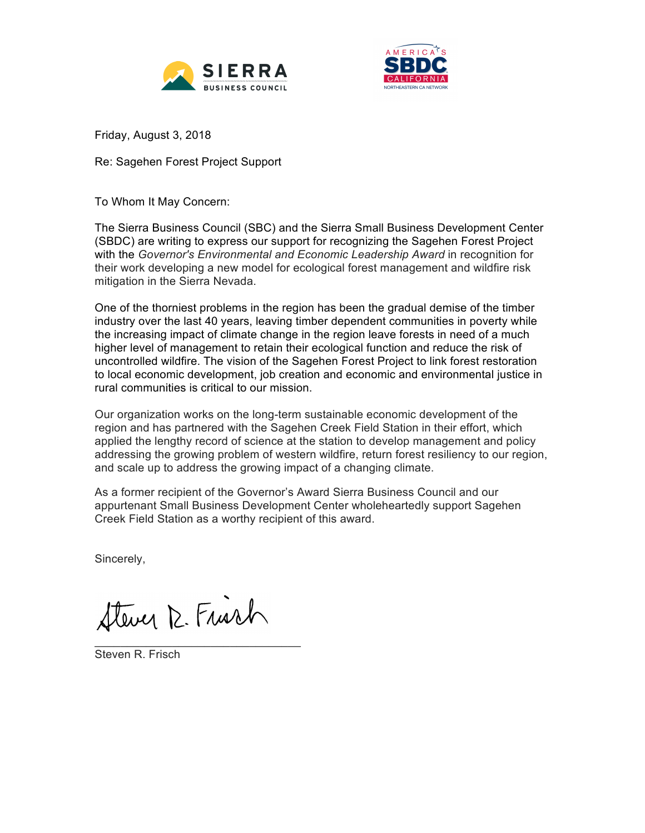



Friday, August 3, 2018

Re: Sagehen Forest Project Support

To Whom It May Concern:

The Sierra Business Council (SBC) and the Sierra Small Business Development Center (SBDC) are writing to express our support for recognizing the Sagehen Forest Project with the *Governor's Environmental and Economic Leadership Award* in recognition for their work developing a new model for ecological forest management and wildfire risk mitigation in the Sierra Nevada.

One of the thorniest problems in the region has been the gradual demise of the timber industry over the last 40 years, leaving timber dependent communities in poverty while the increasing impact of climate change in the region leave forests in need of a much higher level of management to retain their ecological function and reduce the risk of uncontrolled wildfire. The vision of the Sagehen Forest Project to link forest restoration to local economic development, job creation and economic and environmental justice in rural communities is critical to our mission.

Our organization works on the long-term sustainable economic development of the region and has partnered with the Sagehen Creek Field Station in their effort, which applied the lengthy record of science at the station to develop management and policy addressing the growing problem of western wildfire, return forest resiliency to our region, and scale up to address the growing impact of a changing climate.

As a former recipient of the Governor's Award Sierra Business Council and our appurtenant Small Business Development Center wholeheartedly support Sagehen Creek Field Station as a worthy recipient of this award.

Sincerely,

Stever 12. Frisch

Steven R. Frisch